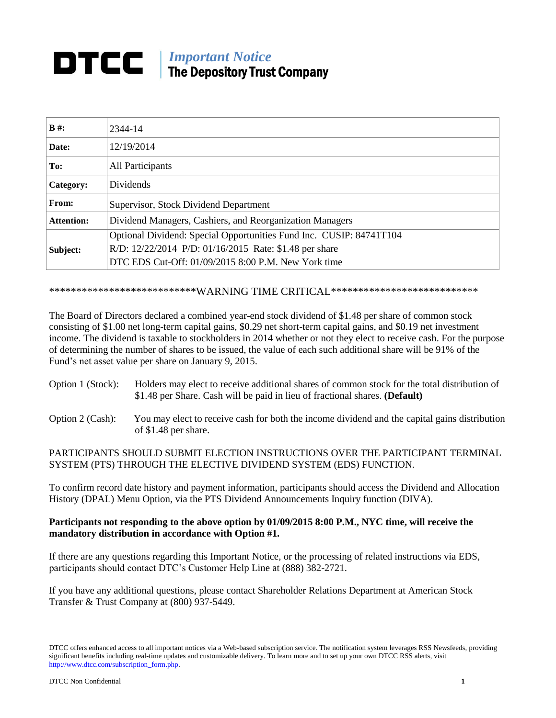## *Important Notice* The Depository Trust Company

| $B#$ :            | 2344-14                                                                                                                                                                              |
|-------------------|--------------------------------------------------------------------------------------------------------------------------------------------------------------------------------------|
| Date:             | 12/19/2014                                                                                                                                                                           |
| To:               | All Participants                                                                                                                                                                     |
| Category:         | <b>Dividends</b>                                                                                                                                                                     |
| From:             | Supervisor, Stock Dividend Department                                                                                                                                                |
| <b>Attention:</b> | Dividend Managers, Cashiers, and Reorganization Managers                                                                                                                             |
| Subject:          | Optional Dividend: Special Opportunities Fund Inc. CUSIP: 84741T104<br>R/D: 12/22/2014 P/D: 01/16/2015 Rate: \$1.48 per share<br>DTC EDS Cut-Off: 01/09/2015 8:00 P.M. New York time |

## \*\*\*\*\*\*\*\*\*\*\*\*\*\*\*\*\*\*\*\*\*\*\*\*\*\*\*\*WARNING TIME CRITICAL\*\*\*\*\*\*\*\*\*\*\*\*\*\*\*\*\*\*\*\*\*\*\*\*\*\*\*\*

The Board of Directors declared a combined year-end stock dividend of \$1.48 per share of common stock consisting of \$1.00 net long-term capital gains, \$0.29 net short-term capital gains, and \$0.19 net investment income. The dividend is taxable to stockholders in 2014 whether or not they elect to receive cash. For the purpose of determining the number of shares to be issued, the value of each such additional share will be 91% of the Fund's net asset value per share on January 9, 2015.

- Option 1 (Stock): Holders may elect to receive additional shares of common stock for the total distribution of \$1.48 per Share. Cash will be paid in lieu of fractional shares. **(Default)**
- Option 2 (Cash): You may elect to receive cash for both the income dividend and the capital gains distribution of \$1.48 per share.

## PARTICIPANTS SHOULD SUBMIT ELECTION INSTRUCTIONS OVER THE PARTICIPANT TERMINAL SYSTEM (PTS) THROUGH THE ELECTIVE DIVIDEND SYSTEM (EDS) FUNCTION.

To confirm record date history and payment information, participants should access the Dividend and Allocation History (DPAL) Menu Option, via the PTS Dividend Announcements Inquiry function (DIVA).

## **Participants not responding to the above option by 01/09/2015 8:00 P.M., NYC time, will receive the mandatory distribution in accordance with Option #1.**

If there are any questions regarding this Important Notice, or the processing of related instructions via EDS, participants should contact DTC's Customer Help Line at (888) 382-2721.

If you have any additional questions, please contact Shareholder Relations Department at American Stock Transfer & Trust Company at (800) 937-5449.

DTCC offers enhanced access to all important notices via a Web-based subscription service. The notification system leverages RSS Newsfeeds, providing significant benefits including real-time updates and customizable delivery. To learn more and to set up your own DTCC RSS alerts, visit [http://www.dtcc.com/subscription\\_form.php.](http://www.dtcc.com/subscription_form.php)